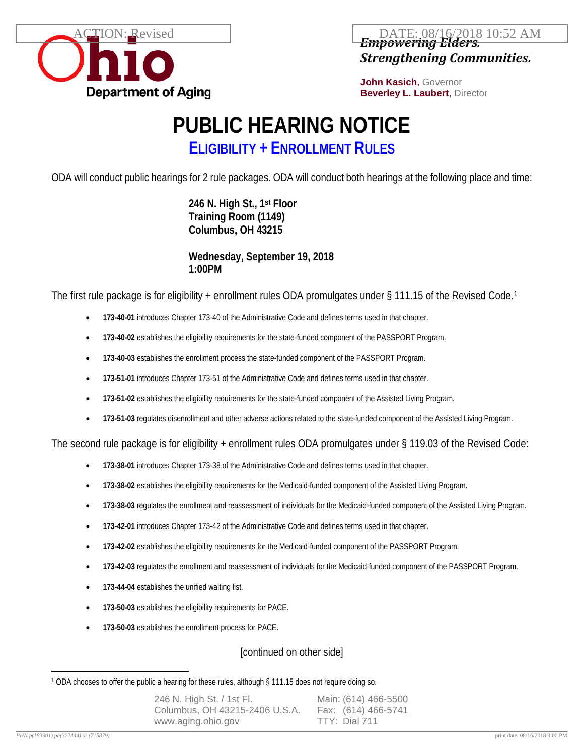

*Empowering Elders. Strengthening Communities.*  $\text{FION:}$  Revised  $\qquad$   $\qquad$  DATE: 08/16/2018 10:52 AM

> **John Kasich**, Governor **Beverley L. Laubert**, Director

## **PUBLIC HEARING NOTICE**

**ELIGIBILITY + ENROLLMENT RULES**

ODA will conduct public hearings for 2 rule packages. ODA will conduct both hearings at the following place and time:

**246 N. High St., 1st Floor Training Room (1149) Columbus, OH 43215**

**Wednesday, September 19, 2018 1:00PM**

The first rule package is for eligibility + enrollment rules ODA promulgates under § [1](#page-0-0)11.15 of the Revised Code.<sup>1</sup>

- **173-40-01** introduces Chapter 173-40 of the Administrative Code and defines terms used in that chapter.
- **173-40-02** establishes the eligibility requirements for the state-funded component of the PASSPORT Program.
- **173-40-03** establishes the enrollment process the state-funded component of the PASSPORT Program.
- **173-51-01** introduces Chapter 173-51 of the Administrative Code and defines terms used in that chapter.
- **173-51-02** establishes the eligibility requirements for the state-funded component of the Assisted Living Program.
- **173-51-03** regulates disenrollment and other adverse actions related to the state-funded component of the Assisted Living Program.

The second rule package is for eligibility + enrollment rules ODA promulgates under § 119.03 of the Revised Code:

- **173-38-01** introduces Chapter 173-38 of the Administrative Code and defines terms used in that chapter.
- **173-38-02** establishes the eligibility requirements for the Medicaid-funded component of the Assisted Living Program.
- **173-38-03** regulates the enrollment and reassessment of individuals for the Medicaid-funded component of the Assisted Living Program.
- **173-42-01** introduces Chapter 173-42 of the Administrative Code and defines terms used in that chapter.
- **173-42-02** establishes the eligibility requirements for the Medicaid-funded component of the PASSPORT Program.
- **173-42-03** regulates the enrollment and reassessment of individuals for the Medicaid-funded component of the PASSPORT Program.
- **173-44-04** establishes the unified waiting list.
- **173-50-03** establishes the eligibility requirements for PACE.
- **173-50-03** establishes the enrollment process for PACE.

## [continued on other side]

<span id="page-0-0"></span> $\overline{a}$ <sup>1</sup> ODA chooses to offer the public a hearing for these rules, although § 111.15 does not require doing so.

| 246 N. High St. / 1st Fl.      | Main: (614) 466-5500 |
|--------------------------------|----------------------|
| Columbus, OH 43215-2406 U.S.A. | Fax: (614) 466-5741  |
| www.aging.ohio.gov             | TTY: Dial 711        |